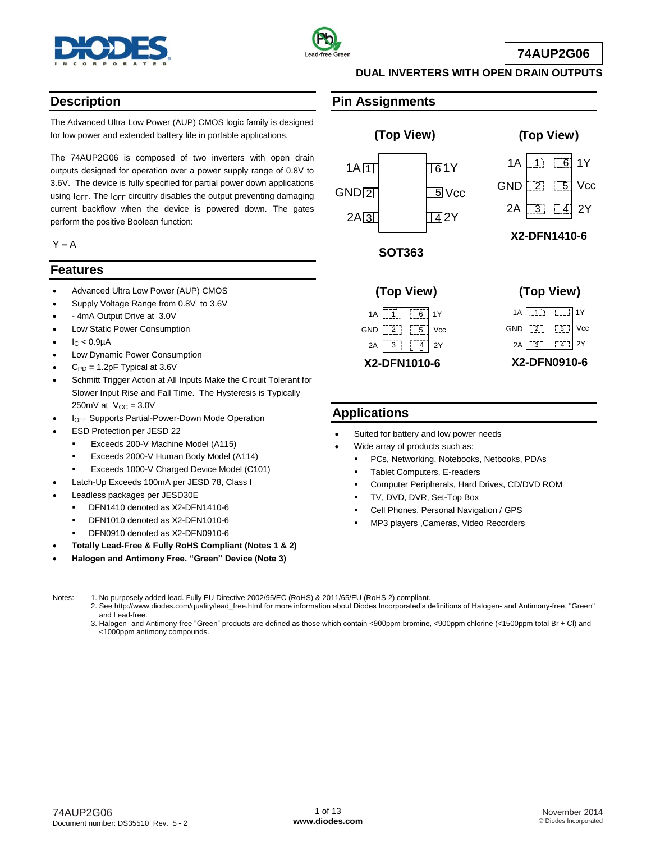



**74AUP2G06**

## **Description**

The Advanced Ultra Low Power (AUP) CMOS logic family is designed for low power and extended battery life in portable applications.

The 74AUP2G06 is composed of two inverters with open drain outputs designed for operation over a power supply range of 0.8V to 3.6V. The device is fully specified for partial power down applications using IOFF. The IOFF circuitry disables the output preventing damaging current backflow when the device is powered down. The gates perform the positive Boolean function:

 $Y = \overline{A}$ 

## **Features**

- Advanced Ultra Low Power (AUP) CMOS
- Supply Voltage Range from 0.8V to 3.6V
- 4mA Output Drive at 3.0V
- Low Static Power Consumption
- $I<sub>C</sub> < 0.9<sub>µ</sub>A$
- Low Dynamic Power Consumption
- $C_{PD} = 1.2pF$  Typical at  $3.6V$
- Schmitt Trigger Action at All Inputs Make the Circuit Tolerant for Slower Input Rise and Fall Time. The Hysteresis is Typically  $250mV$  at  $V_{CC} = 3.0V$
- IOFF Supports Partial-Power-Down Mode Operation
- ESD Protection per JESD 22
	- Exceeds 200-V Machine Model (A115)
	- Exceeds 2000-V Human Body Model (A114)
	- Exceeds 1000-V Charged Device Model (C101)
- Latch-Up Exceeds 100mA per JESD 78, Class I
- Leadless packages per JESD30E
	- DFN1410 denoted as X2-DFN1410-6
	- DFN1010 denoted as X2-DFN1010-6
	- DFN0910 denoted as X2-DFN0910-6
- **Totally Lead-Free & Fully RoHS Compliant (Notes 1 & 2)**
- **Halogen and Antimony Free. "Green" Device (Note 3)**

## **Pin Assignments**



**DUAL INVERTERS WITH OPEN DRAIN OUTPUTS**





## **Applications**

- Suited for battery and low power needs
- Wide array of products such as:
	- PCs, Networking, Notebooks, Netbooks, PDAs
	- Tablet Computers, E-readers
	- Computer Peripherals, Hard Drives, CD/DVD ROM
	- TV, DVD, DVR, Set-Top Box
	- Cell Phones, Personal Navigation / GPS
	- MP3 players ,Cameras, Video Recorders

Notes: 1. No purposely added lead. Fully EU Directive 2002/95/EC (RoHS) & 2011/65/EU (RoHS 2) compliant.

- 2. See [http://www.diodes.com/quality/lead\\_free.html](http://www.diodes.com/quality/lead_free.html) for more information about Diodes Incorporated's definitions of Halogen- and Antimony-free, "Green" and Lead-free.
	- 3. Halogen- and Antimony-free "Green" products are defined as those which contain <900ppm bromine, <900ppm chlorine (<1500ppm total Br + Cl) and <1000ppm antimony compounds.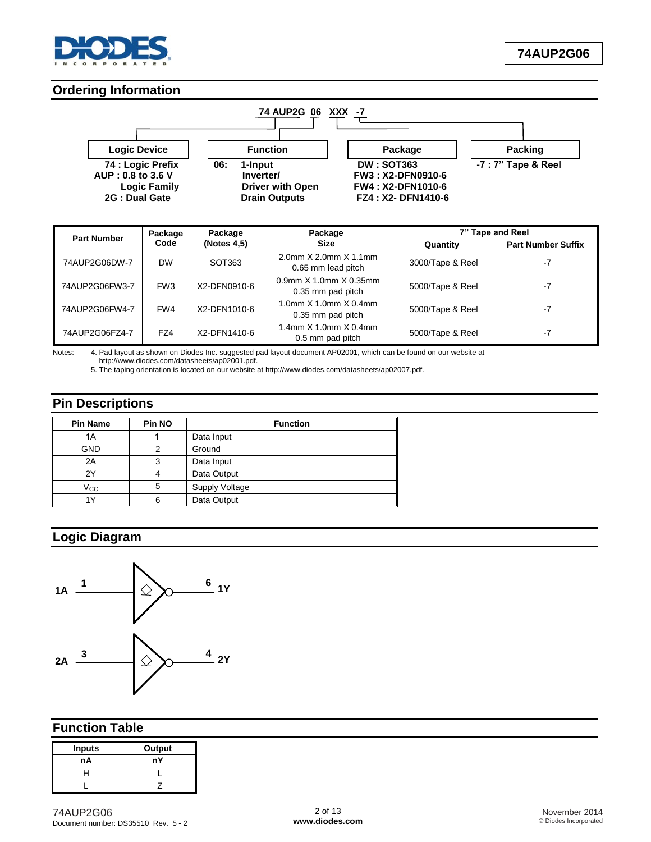

## **Ordering Information**



| <b>Part Number</b> | Package         | Package        | Package                                     | 7" Tape and Reel |                           |  |  |
|--------------------|-----------------|----------------|---------------------------------------------|------------------|---------------------------|--|--|
|                    | Code            | (Notes $4,5$ ) | <b>Size</b>                                 | Quantity         | <b>Part Number Suffix</b> |  |  |
| 74AUP2G06DW-7      | <b>DW</b>       | SOT363         | 2.0mm X 2.0mm X 1.1mm<br>0.65 mm lead pitch | 3000/Tape & Reel | $-7$                      |  |  |
| 74AUP2G06FW3-7     | FW <sub>3</sub> | X2-DFN0910-6   | 0.9mm X 1.0mm X 0.35mm<br>0.35 mm pad pitch | 5000/Tape & Reel | -7                        |  |  |
| 74AUP2G06FW4-7     | FW4             | X2-DFN1010-6   | 1.0mm X 1.0mm X 0.4mm<br>0.35 mm pad pitch  | 5000/Tape & Reel | -7                        |  |  |
| 74AUP2G06FZ4-7     | FZ4             | X2-DFN1410-6   | 1.4mm X 1.0mm X 0.4mm<br>0.5 mm pad pitch   | 5000/Tape & Reel | -7                        |  |  |

Notes: 4. Pad layout as shown on Diodes Inc. suggested pad layout document AP02001, which can be found on our website at

[http://www.diodes.com/datasheets/ap02001.pdf.](http://www.diodes.com/datasheets/ap02001.pdf)

5. The taping orientation is located on our website at [http://www.diodes.com/datasheets/ap02007.pdf.](http://www.diodes.com/datasheets/ap02007.pdf)

## **Pin Descriptions**

| <b>Pin Name</b> | <b>Pin NO</b> | <b>Function</b> |  |  |  |  |
|-----------------|---------------|-----------------|--|--|--|--|
| 1A              |               | Data Input      |  |  |  |  |
| <b>GND</b>      |               | Ground          |  |  |  |  |
| 2A              | 3             | Data Input      |  |  |  |  |
| 2Y              |               | Data Output     |  |  |  |  |
| Vcc             | 5             | Supply Voltage  |  |  |  |  |
| 1Y              | 6             | Data Output     |  |  |  |  |

# **Logic Diagram**



## **Function Table**

| <b>Inputs</b> | Output |
|---------------|--------|
| nA            | nY     |
|               |        |
|               |        |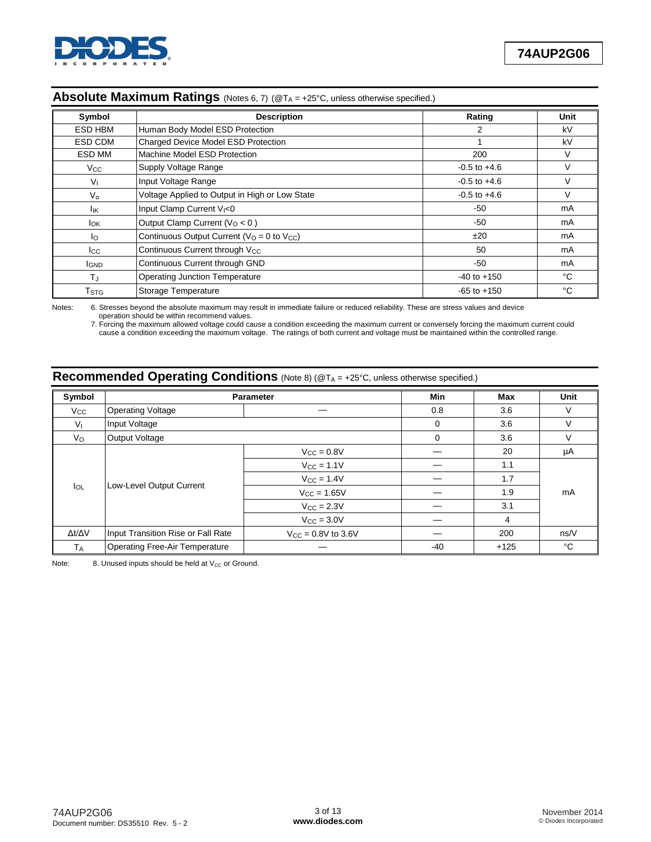

| Symbol                 | <b>Description</b>                                                | Rating           | Unit   |
|------------------------|-------------------------------------------------------------------|------------------|--------|
| <b>ESD HBM</b>         | Human Body Model ESD Protection                                   | 2                | kV     |
| ESD CDM                | Charged Device Model ESD Protection                               |                  | kV     |
| ESD MM                 | Machine Model ESD Protection                                      | 200              | V      |
| Vcc                    | Supply Voltage Range                                              | $-0.5$ to $+4.6$ |        |
| $V_{1}$                | Input Voltage Range                                               | $-0.5$ to $+4.6$ | $\vee$ |
| $V_{\Omega}$           | Voltage Applied to Output in High or Low State                    | $-0.5$ to $+4.6$ |        |
| Ιıκ                    | Input Clamp Current V <sub>I</sub> <0                             | $-50$            | mA     |
| <b>I</b> <sub>OK</sub> | Output Clamp Current ( $VO < 0$ )                                 | $-50$            | mA     |
| Ιo                     | Continuous Output Current ( $V_{\Omega} = 0$ to $V_{\text{CC}}$ ) | ±20              | mA     |
| lcc.                   | Continuous Current through V <sub>CC</sub>                        | 50               | mA     |
| <b>IGND</b>            | Continuous Current through GND                                    | $-50$            | mA     |
| $T_{\rm J}$            | <b>Operating Junction Temperature</b>                             | $-40$ to $+150$  | °C     |
| T <sub>STG</sub>       | Storage Temperature                                               | $-65$ to $+150$  | °C     |

## Absolute Maximum Ratings (Notes 6, 7) (@T<sub>A</sub> = +25°C, unless otherwise specified.)

Notes: 6. Stresses beyond the absolute maximum may result in immediate failure or reduced reliability. These are stress values and device operation should be within recommend values.

7. Forcing the maximum allowed voltage could cause a condition exceeding the maximum current or conversely forcing the maximum current could cause a condition exceeding the maximum voltage. The ratings of both current and voltage must be maintained within the controlled range.

## **Recommended Operating Conditions** (Note 8) (@T<sub>A</sub> = +25°C, unless otherwise specified.)

| Symbol              |                                    | <b>Parameter</b>               | Min      | Max    | Unit   |  |
|---------------------|------------------------------------|--------------------------------|----------|--------|--------|--|
| Vcc                 | <b>Operating Voltage</b>           |                                | 0.8      | 3.6    | V      |  |
| $V_{I}$             | Input Voltage                      |                                | $\Omega$ | 3.6    | $\vee$ |  |
| Vo                  | Output Voltage                     |                                | $\Omega$ | 3.6    | V      |  |
|                     |                                    | $V_{CC} = 0.8V$                |          | 20     | μA     |  |
|                     |                                    | $V_{CC} = 1.1V$                |          | 1.1    |        |  |
|                     | Low-Level Output Current           | $V_{\text{CC}} = 1.4V$         |          | 1.7    |        |  |
| $I_{OL}$            |                                    | $V_{\text{CC}} = 1.65V$        |          | 1.9    | mA     |  |
|                     |                                    | $V_{\rm CC} = 2.3V$            |          | 3.1    |        |  |
|                     |                                    | $V_{\rm CC} = 3.0V$            |          | 4      |        |  |
| $\Delta t/\Delta V$ | Input Transition Rise or Fall Rate | $V_{\text{CC}} = 0.8V$ to 3.6V |          | 200    | ns/V   |  |
| TA                  | Operating Free-Air Temperature     |                                | $-40$    | $+125$ | °C     |  |

Note: 8. Unused inputs should be held at  $V_{CC}$  or Ground.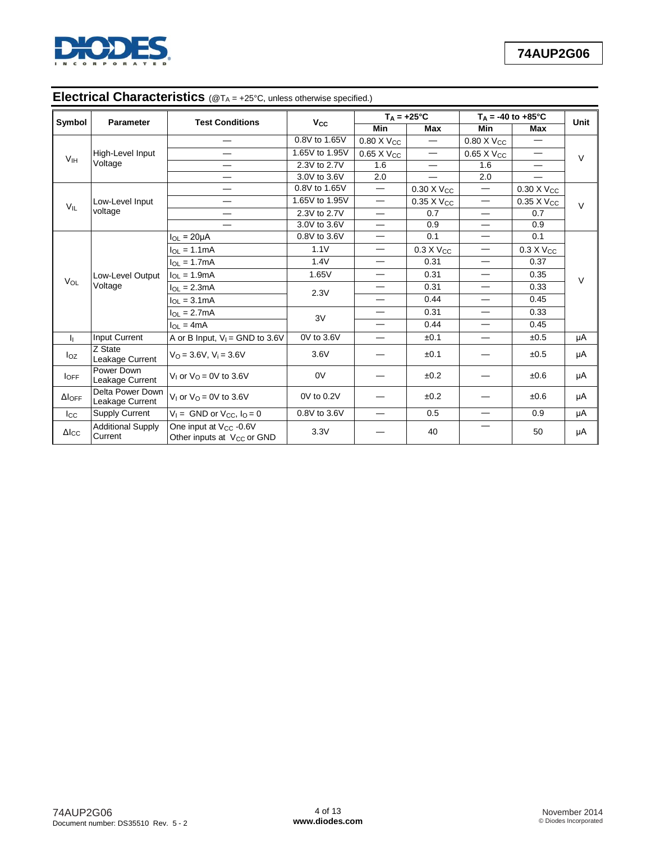

# Electrical Characteristics (@T<sub>A</sub> = +25°C, unless otherwise specified.)

| Symbol              | <b>Parameter</b>                    | <b>Test Conditions</b>                                                       | <b>V<sub>cc</sub></b>    |                          | $T_A = +25^{\circ}C$     |                                  | $T_A = -40$ to $+85^{\circ}$ C | Unit   |  |
|---------------------|-------------------------------------|------------------------------------------------------------------------------|--------------------------|--------------------------|--------------------------|----------------------------------|--------------------------------|--------|--|
|                     |                                     |                                                                              |                          | Min                      | Max                      | Min                              | Max                            |        |  |
|                     |                                     |                                                                              | 0.8V to 1.65V            | 0.80 X Vcc               |                          | 0.80 X Vcc                       | $\overline{\phantom{0}}$       |        |  |
| V <sub>IH</sub>     | High-Level Input                    | —                                                                            | 1.65V to 1.95V           | $0.65$ X V <sub>CC</sub> | $\overline{\phantom{0}}$ | $0.65$ X $V_{CC}$                |                                | $\vee$ |  |
|                     | Voltage                             |                                                                              | 2.3V to 2.7V             | 1.6                      | $\overline{\phantom{0}}$ | 1.6                              | $\overline{\phantom{0}}$       |        |  |
|                     |                                     | $\overline{\phantom{0}}$                                                     | 3.0V to 3.6V             | 2.0                      | $\overline{\phantom{0}}$ | 2.0                              |                                |        |  |
|                     |                                     | —                                                                            | 0.8V to 1.65V            | $\overline{\phantom{m}}$ | $0.30 \times V_{CC}$     | $\overline{\phantom{m}}$         | $0.30 \times V_{CC}$           |        |  |
| $V_{IL}$            | Low-Level Input                     | —                                                                            | 1.65V to 1.95V           | $\overline{\phantom{0}}$ | $0.35$ X Vcc             | $\overline{\phantom{0}}$         | 0.35 X Vcc                     | $\vee$ |  |
|                     | voltage                             | $\overline{\phantom{0}}$                                                     | 2.3V to 2.7V             | $\overline{\phantom{0}}$ | 0.7                      | $\overline{\phantom{0}}$         | 0.7                            |        |  |
|                     |                                     | 3.0V to 3.6V                                                                 | $\overline{\phantom{0}}$ | 0.9                      | $\overline{\phantom{0}}$ | 0.9                              |                                |        |  |
|                     |                                     | $I_{OL}$ = 20µA                                                              | 0.8V to 3.6V             | $\overline{\phantom{0}}$ | 0.1                      | $\overline{\phantom{0}}$         | 0.1                            |        |  |
|                     |                                     | $I_{OL} = 1.1mA$                                                             | 1.1V                     | —                        | $0.3 X V_{CC}$           | $\overbrace{\phantom{12322111}}$ | $0.3 X V_{CC}$                 |        |  |
|                     |                                     | $I_{OL} = 1.7mA$                                                             | 1.4V                     | $\overline{\phantom{0}}$ | 0.31                     | $\overline{\phantom{m}}$         | 0.37                           |        |  |
|                     | Low-Level Output<br>Voltage         | $I_{OL} = 1.9mA$                                                             | 1.65V                    | —                        | 0.31                     | $\overbrace{\phantom{12322111}}$ | 0.35                           | $\vee$ |  |
| $V_{OL}$            |                                     | $I_{OL} = 2.3mA$                                                             | 2.3V                     |                          | 0.31                     | $\overline{\phantom{0}}$         | 0.33                           |        |  |
|                     |                                     | $I_{\Omega} = 3.1 \text{mA}$                                                 |                          | $\overline{\phantom{0}}$ | 0.44                     | $\overline{\phantom{0}}$         | 0.45                           |        |  |
|                     |                                     | $I_{OL} = 2.7mA$                                                             | 3V                       | $\overline{\phantom{0}}$ | 0.31                     | $\overline{\phantom{0}}$         | 0.33                           |        |  |
|                     |                                     | $I_{OL} = 4mA$                                                               |                          |                          | 0.44                     | $\overline{\phantom{0}}$         | 0.45                           |        |  |
| h.                  | <b>Input Current</b>                | A or B Input, $V_1$ = GND to 3.6V                                            | 0V to 3.6V               |                          | ±0.1                     | —                                | ±0.5                           | μA     |  |
| $I_{OZ}$            | Z State<br>Leakage Current          | $V_{\Omega} = 3.6V$ , $V_i = 3.6V$                                           | 3.6V                     |                          | ±0.1                     |                                  | ±0.5                           | μA     |  |
| $I$ OFF             | Power Down<br>Leakage Current       | $V1$ or $V0 = 0V$ to 3.6V                                                    | 0V                       |                          | ±0.2                     |                                  | ±0.6                           | μA     |  |
| $\Delta$ loff       | Delta Power Down<br>Leakage Current | V <sub>1</sub> or $V_0 = 0V$ to 3.6V                                         | 0V to 0.2V               |                          | ±0.2                     |                                  | ±0.6                           | μA     |  |
| $_{\rm lcc}$        | Supply Current                      | $V_1 =$ GND or V <sub>CC</sub> , $I_0 = 0$                                   | 0.8V to 3.6V             |                          | 0.5                      | $\overline{\phantom{0}}$         | 0.9                            | μA     |  |
| $\Delta I_{\rm CC}$ | <b>Additional Supply</b><br>Current | One input at V <sub>CC</sub> -0.6V<br>Other inputs at V <sub>CC</sub> or GND | 3.3V                     |                          | 40                       |                                  | 50                             | μA     |  |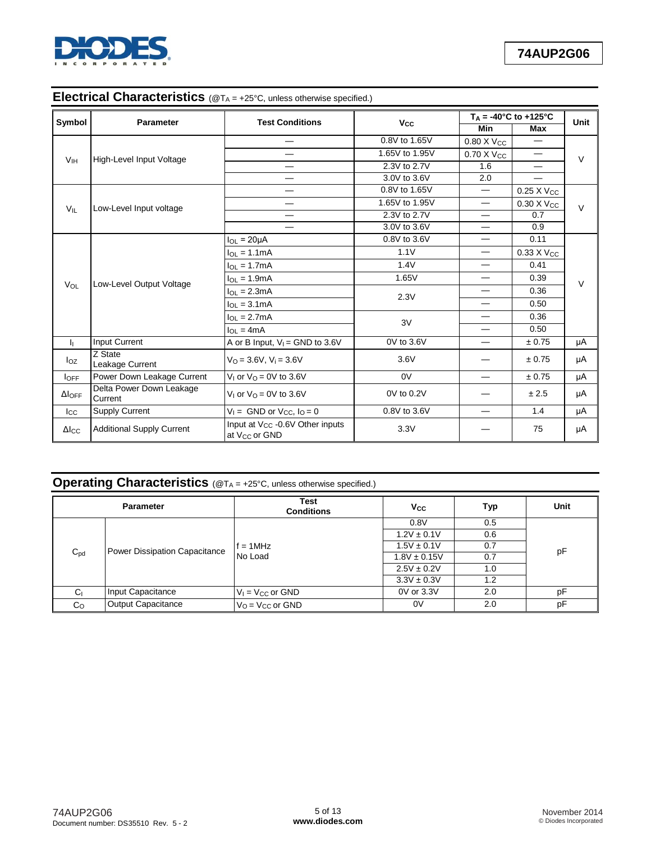

# Electrical Characteristics (@T<sub>A</sub> = +25°C, unless otherwise specified.)

|                         |                                     | <b>Test Conditions</b>                                                   |                       | $T_A = -40^{\circ}C$ to $+125^{\circ}C$ |                        | Unit   |
|-------------------------|-------------------------------------|--------------------------------------------------------------------------|-----------------------|-----------------------------------------|------------------------|--------|
| Symbol                  | <b>Parameter</b>                    |                                                                          | <b>V<sub>cc</sub></b> | <b>Min</b>                              | Max                    |        |
|                         |                                     |                                                                          | 0.8V to 1.65V         | $0.80$ X $V_{CC}$                       |                        |        |
| V <sub>IH</sub>         | High-Level Input Voltage            |                                                                          | 1.65V to 1.95V        | 0.70 X V <sub>CC</sub>                  |                        | $\vee$ |
|                         |                                     |                                                                          | 2.3V to 2.7V          | 1.6                                     |                        |        |
|                         |                                     |                                                                          | 3.0V to 3.6V          | 2.0                                     |                        |        |
|                         |                                     |                                                                          | 0.8V to 1.65V         |                                         | $0.25 \times V_{CC}$   |        |
| $V_{IL}$                | Low-Level Input voltage             |                                                                          | 1.65V to 1.95V        | $\overline{\phantom{0}}$                | 0.30 X V <sub>CC</sub> | $\vee$ |
|                         |                                     | —                                                                        | 2.3V to 2.7V          |                                         | 0.7                    |        |
|                         |                                     |                                                                          | 3.0V to 3.6V          |                                         | 0.9                    |        |
|                         |                                     | $I_{OL}$ = 20 $\mu$ A                                                    | 0.8V to 3.6V          | $\overbrace{\phantom{12333}}$           | 0.11                   |        |
|                         |                                     | $I_{OL} = 1.1mA$                                                         | 1.1V                  | $\overline{\phantom{0}}$                | 0.33 X V <sub>CC</sub> |        |
|                         |                                     | $I_{OL} = 1.7mA$                                                         | 1.4V                  |                                         | 0.41                   |        |
|                         |                                     | $I_{OL} = 1.9mA$                                                         | 1.65V                 | $\overbrace{\phantom{12333}}$           | 0.39                   | $\vee$ |
| $V_{OL}$                | Low-Level Output Voltage            | $I_{OL} = 2.3mA$                                                         | 2.3V                  |                                         | 0.36                   |        |
|                         |                                     | $I_{\Omega I} = 3.1 \text{mA}$                                           |                       | $\overline{\phantom{0}}$                | 0.50                   |        |
|                         |                                     | $I_{OL} = 2.7mA$                                                         | 3V                    | —                                       | 0.36                   |        |
|                         |                                     | $I_{\Omega I} = 4mA$                                                     |                       | $\overline{\phantom{0}}$                | 0.50                   |        |
| h.                      | Input Current                       | A or B Input, $V_1$ = GND to 3.6V                                        | 0V to 3.6V            | $\overline{\phantom{0}}$                | ± 0.75                 | μA     |
| loz                     | Z State<br>Leakage Current          | $V_O = 3.6V$ , $V_i = 3.6V$                                              | 3.6V                  |                                         | ± 0.75                 | μA     |
| $I_{\text{OFF}}$        | Power Down Leakage Current          | V <sub>1</sub> or $V_{\Omega} = 0V$ to 3.6V                              | 0V                    | $\overbrace{\phantom{12333}}$           | ± 0.75                 | μA     |
| $\Delta I_{OFF}$        | Delta Power Down Leakage<br>Current | V <sub>1</sub> or $V0 = 0V$ to 3.6V                                      | 0V to 0.2V            |                                         | ± 2.5                  | μA     |
| $_{\rm lcc}$            | <b>Supply Current</b>               | $V_1 =$ GND or $V_{CC}$ , $I_0 = 0$                                      | 0.8V to 3.6V          |                                         | 1.4                    | μA     |
| $\Delta$ <sub>ICC</sub> | <b>Additional Supply Current</b>    | Input at V <sub>CC</sub> -0.6V Other inputs<br>at V <sub>CC</sub> or GND | 3.3V                  |                                         | 75                     | μA     |

# **Operating Characteristics** (@T<sub>A</sub> = +25°C, unless otherwise specified.)

|                | <b>Parameter</b>                     | <b>Test</b><br><b>Conditions</b>      | Vcc              | Typ | Unit |  |
|----------------|--------------------------------------|---------------------------------------|------------------|-----|------|--|
|                |                                      |                                       | 0.8V             | 0.5 |      |  |
|                |                                      |                                       | $1.2V \pm 0.1V$  | 0.6 |      |  |
|                | <b>Power Dissipation Capacitance</b> | $f = 1$ MHz                           | $1.5V \pm 0.1V$  | 0.7 | pF   |  |
| $C_{pd}$       |                                      | No Load                               | $1.8V \pm 0.15V$ | 0.7 |      |  |
|                |                                      |                                       | $2.5V \pm 0.2V$  | 1.0 |      |  |
|                |                                      |                                       | $3.3V \pm 0.3V$  | 1.2 |      |  |
| Cı             | Input Capacitance                    | $V_1 = V_{CC}$ or GND                 | 0V or 3.3V       | 2.0 | рF   |  |
| C <sub>O</sub> | <b>Output Capacitance</b>            | $V_{\Omega}$ = $V_{\text{CC}}$ or GND | 0V               | 2.0 | рF   |  |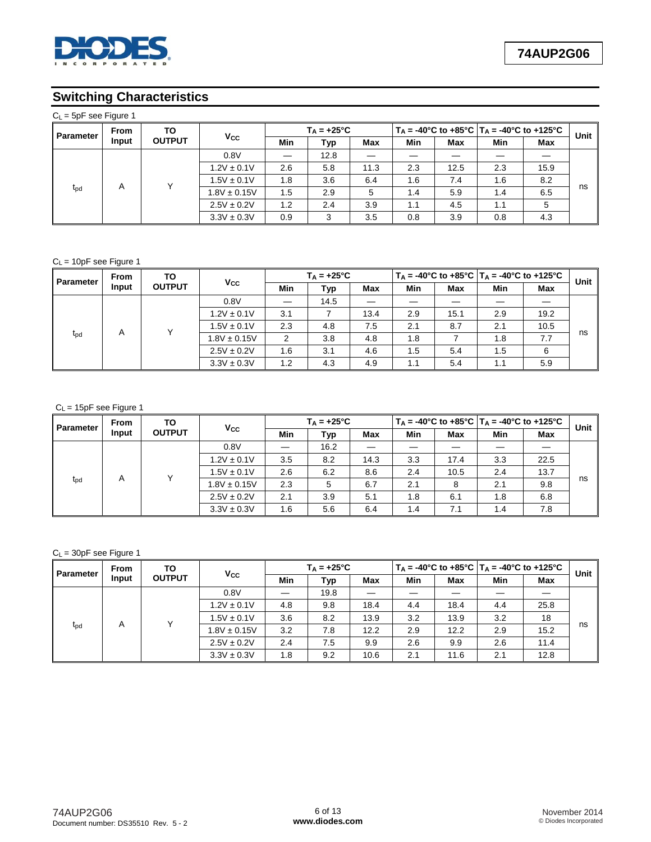

## **Switching Characteristics**

| $C_L$ = 5pF see Figure 1 |             |                      |                  |     |                      |      |     |                                                                                                 |     |      |      |
|--------------------------|-------------|----------------------|------------------|-----|----------------------|------|-----|-------------------------------------------------------------------------------------------------|-----|------|------|
| <b>Parameter</b>         | <b>From</b> | TO.<br><b>OUTPUT</b> | $V_{\rm CC}$     |     | $T_A = +25^{\circ}C$ |      |     | $T_A = -40^{\circ}$ C to $+85^{\circ}$ C   T <sub>A</sub> = $-40^{\circ}$ C to $+125^{\circ}$ C |     |      |      |
|                          | Input       |                      |                  | Min | Typ                  | Max  | Min | Max                                                                                             | Min | Max  | Unit |
|                          |             |                      | 0.8V             |     | 12.8                 |      |     |                                                                                                 |     |      | ns   |
|                          |             |                      | $1.2V \pm 0.1V$  | 2.6 | 5.8                  | 11.3 | 2.3 | 12.5                                                                                            | 2.3 | 15.9 |      |
|                          | A           |                      | $1.5V \pm 0.1V$  | 1.8 | 3.6                  | 6.4  | 1.6 | 7.4                                                                                             | 1.6 | 8.2  |      |
| t <sub>pd</sub>          |             |                      | $1.8V \pm 0.15V$ | 1.5 | 2.9                  | 5    | 1.4 | 5.9                                                                                             | 1.4 | 6.5  |      |
|                          |             |                      | $2.5V \pm 0.2V$  | 1.2 | 2.4                  | 3.9  | 1.1 | 4.5                                                                                             | 1.1 | 5    |      |
|                          |             |                      | $3.3V \pm 0.3V$  | 0.9 | 3                    | 3.5  | 0.8 | 3.9                                                                                             | 0.8 | 4.3  |      |

#### $C_L$  = 10pF see Figure 1

| <b>Parameter</b> | <b>From</b><br>Input | TO<br><b>OUTPUT</b> | Vcc              |     | $T_A = +25^{\circ}C$ |      |     |      |     | $T_A = -40^{\circ}$ C to $+85^{\circ}$ C   T <sub>A</sub> = $-40^{\circ}$ C to $+125^{\circ}$ C |      |
|------------------|----------------------|---------------------|------------------|-----|----------------------|------|-----|------|-----|-------------------------------------------------------------------------------------------------|------|
|                  |                      |                     |                  | Min | Typ                  | Max  | Min | Max  | Min | Max                                                                                             | Unit |
|                  |                      |                     | 0.8V             |     | 14.5                 |      |     |      |     |                                                                                                 |      |
|                  |                      |                     | $1.2V \pm 0.1V$  | 3.1 |                      | 13.4 | 2.9 | 15.1 | 2.9 | 19.2                                                                                            | ns   |
|                  |                      |                     | $1.5V \pm 0.1V$  | 2.3 | 4.8                  | 7.5  | 2.1 | 8.7  | 2.1 | 10.5                                                                                            |      |
| $t_{\rm pd}$     | A                    |                     | $1.8V \pm 0.15V$ | 2   | 3.8                  | 4.8  | 1.8 |      | 1.8 | 7.7                                                                                             |      |
|                  |                      |                     | $2.5V \pm 0.2V$  | 1.6 | 3.1                  | 4.6  | 1.5 | 5.4  | 1.5 | 6                                                                                               |      |
|                  |                      |                     | $3.3V \pm 0.3V$  | 1.2 | 4.3                  | 4.9  | 1.1 | 5.4  | 1.1 | 5.9                                                                                             |      |

#### $C_L$  = 15pF see Figure 1

| <b>Parameter</b> | <b>From</b><br>Input | TO<br><b>OUTPUT</b> | Vcc              |     | $T_A = +25^{\circ}C$ |      |     |      |     | $T_A = -40^{\circ}$ C to $+85^{\circ}$ C   T <sub>A</sub> = $-40^{\circ}$ C to $+125^{\circ}$ C |      |
|------------------|----------------------|---------------------|------------------|-----|----------------------|------|-----|------|-----|-------------------------------------------------------------------------------------------------|------|
|                  |                      |                     |                  | Min | Typ                  | Max  | Min | Max  | Min | Max                                                                                             | Unit |
|                  |                      |                     | 0.8V             |     | 16.2                 |      |     |      |     |                                                                                                 |      |
|                  |                      |                     | $1.2V \pm 0.1V$  | 3.5 | 8.2                  | 14.3 | 3.3 | 17.4 | 3.3 | 22.5                                                                                            |      |
|                  |                      |                     | $1.5V \pm 0.1V$  | 2.6 | 6.2                  | 8.6  | 2.4 | 10.5 | 2.4 | 13.7                                                                                            | ns   |
| $t_{\rm pd}$     | A                    |                     | $1.8V \pm 0.15V$ | 2.3 | 5                    | 6.7  | 2.1 | 8    | 2.1 | 9.8                                                                                             |      |
|                  |                      |                     | $2.5V \pm 0.2V$  | 2.1 | 3.9                  | 5.1  | 1.8 | 6.1  | 1.8 | 6.8                                                                                             |      |
|                  |                      |                     | $3.3V \pm 0.3V$  | 1.6 | 5.6                  | 6.4  | 1.4 | 7.1  | 1.4 | 7.8                                                                                             |      |

#### $C_L$  = 30pF see Figure 1

| <b>Parameter</b> | From<br>Input | ΤО<br><b>OUTPUT</b> | Vcc              |     | $T_A = +25^{\circ}C$ |      |     |      |     | $T_A = -40^{\circ}$ C to $+85^{\circ}$ C   T <sub>A</sub> = $-40^{\circ}$ C to $+125^{\circ}$ C |      |
|------------------|---------------|---------------------|------------------|-----|----------------------|------|-----|------|-----|-------------------------------------------------------------------------------------------------|------|
|                  |               |                     |                  | Min | Typ                  | Max  | Min | Max  | Min | Max                                                                                             | Unit |
|                  |               |                     | 0.8V             |     | 19.8                 |      |     |      |     |                                                                                                 |      |
|                  |               | $\check{ }$         | $1.2V \pm 0.1V$  | 4.8 | 9.8                  | 18.4 | 4.4 | 18.4 | 4.4 | 25.8                                                                                            | ns   |
|                  |               |                     | $1.5V \pm 0.1V$  | 3.6 | 8.2                  | 13.9 | 3.2 | 13.9 | 3.2 | 18                                                                                              |      |
| $t_{\rm pd}$     | A             |                     | $1.8V \pm 0.15V$ | 3.2 | 7.8                  | 12.2 | 2.9 | 12.2 | 2.9 | 15.2                                                                                            |      |
|                  |               |                     | $2.5V \pm 0.2V$  | 2.4 | 7.5                  | 9.9  | 2.6 | 9.9  | 2.6 | 11.4                                                                                            |      |
|                  |               |                     | $3.3V \pm 0.3V$  | 1.8 | 9.2                  | 10.6 | 2.1 | 11.6 | 2.1 | 12.8                                                                                            |      |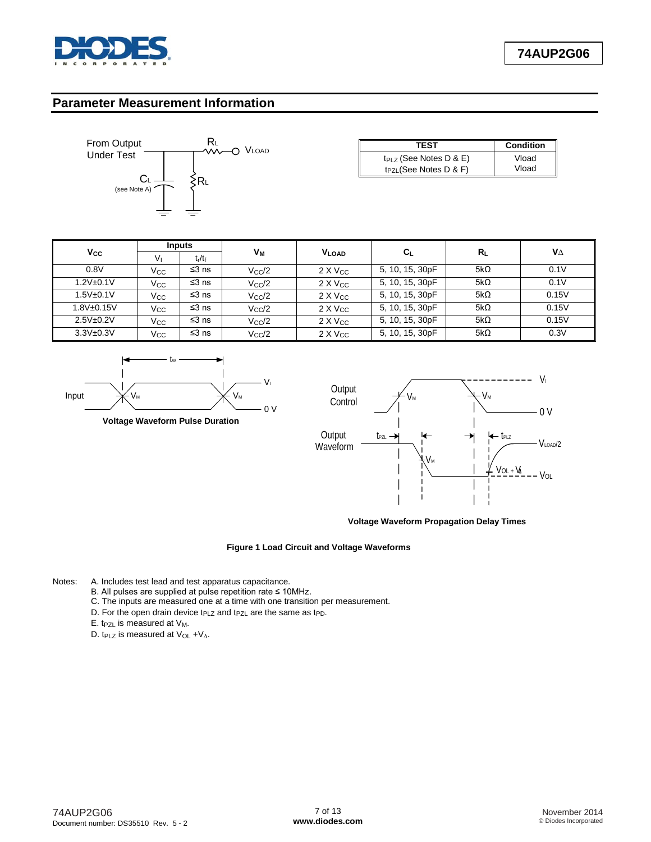

### **Parameter Measurement Information**



| <b>TEST</b>                 | <b>Condition</b> |
|-----------------------------|------------------|
| $tp_{LZ}$ (See Notes D & E) | Vload            |
| $t_{PZL}$ (See Notes D & F) | Vload            |

|                   | Inputs         |           |                |                    |                 |             |       | VΔ |
|-------------------|----------------|-----------|----------------|--------------------|-----------------|-------------|-------|----|
| Vcc               | V <sub>I</sub> | $t_r/t_f$ |                | Vм<br><b>VLOAD</b> | Cı              | $R_L$       |       |    |
| 0.8V              | Vcc            | $≤3$ ns   | $V_{\rm CC}/2$ | $2 \times V_{CC}$  | 5, 10, 15, 30pF | 5k $\Omega$ | 0.1V  |    |
| $1.2V_{\pm}0.1V$  | Vcc            | $≤3$ ns   | $V_{\rm CC}/2$ | $2 \times V_{CC}$  | 5, 10, 15, 30pF | 5k $\Omega$ | 0.1V  |    |
| $1.5V_{\pm}0.1V$  | Vcc.           | $≤3$ ns   | $V_{\rm CC}/2$ | $2 \times V_{CC}$  | 5, 10, 15, 30pF | 5k $\Omega$ | 0.15V |    |
| $1.8V_{\pm}0.15V$ | Vcc.           | $≤3$ ns   | $V_{\rm CC}/2$ | $2 \times V_{CC}$  | 5, 10, 15, 30pF | 5k $\Omega$ | 0.15V |    |
| $2.5V + 0.2V$     | $V_{\rm CC}$   | $≤3$ ns   | $V_{\rm CC}/2$ | $2 \times V_{CC}$  | 5, 10, 15, 30pF | 5k $\Omega$ | 0.15V |    |
| $3.3V + 0.3V$     | Vcc            | $≤3$ ns   | $V_{\rm CC}/2$ | $2 \times V_{CC}$  | 5, 10, 15, 30pF | 5k $\Omega$ | 0.3V  |    |





**Voltage Waveform Propagation Delay Times**

#### **Figure 1 Load Circuit and Voltage Waveforms**

- Notes: A. Includes test lead and test apparatus capacitance.
	- B. All pulses are supplied at pulse repetition rate ≤ 10MHz.
	- C. The inputs are measured one at a time with one transition per measurement.
	- D. For the open drain device t<sub>PLZ</sub> and t<sub>PZL</sub> are the same as t<sub>PD</sub>.
	- E. t<sub>PZL</sub> is measured at  $V_M$ .
	- D. t<sub>PLZ</sub> is measured at V<sub>OL</sub> + V<sub>∆</sub>.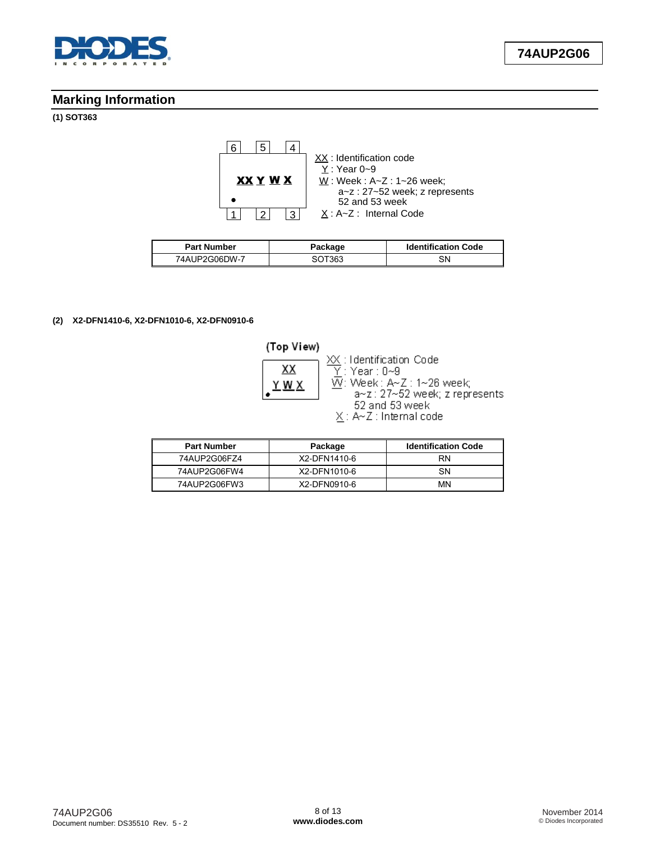

## **Marking Information**

## **(1) SOT363**



| <b>Part Number</b> | Package | <b>Identification Code</b> |  |
|--------------------|---------|----------------------------|--|
| 74AUP2G06DW-7      | SOT363  | SΝ                         |  |

#### **(2) X2-DFN1410-6, X2-DFN1010-6, X2-DFN0910-6**

| (Top View) |                                                           |
|------------|-----------------------------------------------------------|
| xх         | XX : Identification Code<br>$\overline{Y}$ : Year : 0~9   |
|            | W: Week: A~Z: 1~26 week;<br>a~z: 27~52 week; z represents |
|            | 52 and 53 week<br>$X: A \sim Z$ : Internal code           |

| <b>Part Number</b> | Package      | <b>Identification Code</b> |
|--------------------|--------------|----------------------------|
| 74AUP2G06FZ4       | X2-DFN1410-6 | RN                         |
| 74AUP2G06FW4       | X2-DFN1010-6 | SΝ                         |
| 74AUP2G06FW3       | X2-DFN0910-6 | MN                         |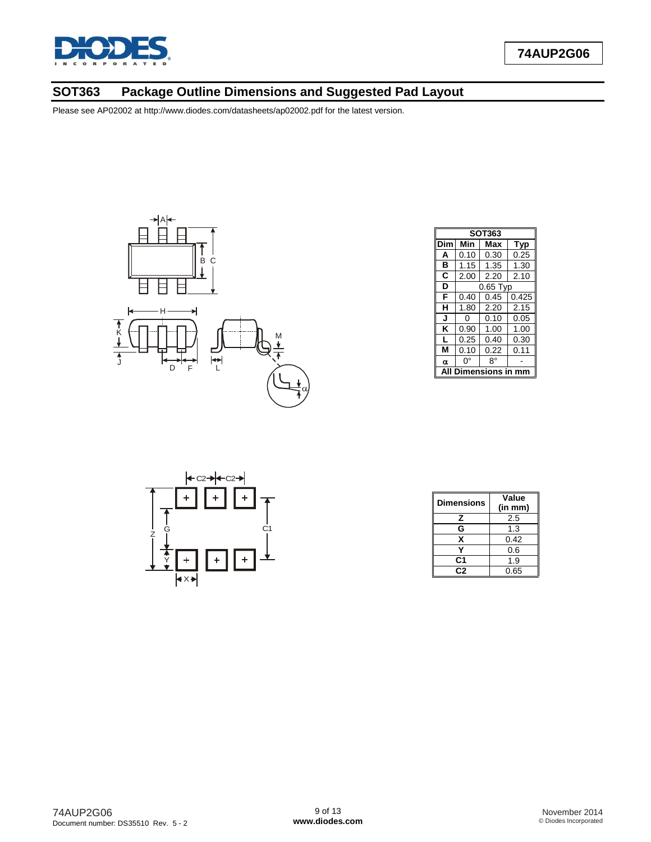

# **SOT363 Package Outline Dimensions and Suggested Pad Layout**



|                            | <b>SOT363</b> |            |       |  |  |  |
|----------------------------|---------------|------------|-------|--|--|--|
| Dim                        | Min           | Max        | Typ   |  |  |  |
| A                          | 0.10          | 0.30       | 0.25  |  |  |  |
| в                          | 1.15          | 1.35       | 1.30  |  |  |  |
| C                          | 2.00          | 2.20       | 2.10  |  |  |  |
| D                          |               | $0.65$ Typ |       |  |  |  |
| F                          | 0.40          | 0.45       | 0.425 |  |  |  |
| н                          | 1.80          | 2.20       | 2.15  |  |  |  |
| J                          | 0             | 0.10       | 0.05  |  |  |  |
| Κ                          | 0.90          | 1.00       | 1.00  |  |  |  |
| L                          | 0.25          | 0.40       | 0.30  |  |  |  |
| М                          | 0.10          | 0.22       | 0.11  |  |  |  |
| α                          | ŋ۰            | 8°         |       |  |  |  |
| <b>Dimensions in</b><br>mm |               |            |       |  |  |  |



| <b>Dimensions</b> | Value<br>(in mm) |
|-------------------|------------------|
| z                 | 2.5              |
| G                 | 1.3              |
| x                 | 0.42             |
|                   | 0.6              |
| C1                | 1.9              |
| C2                | 0.65             |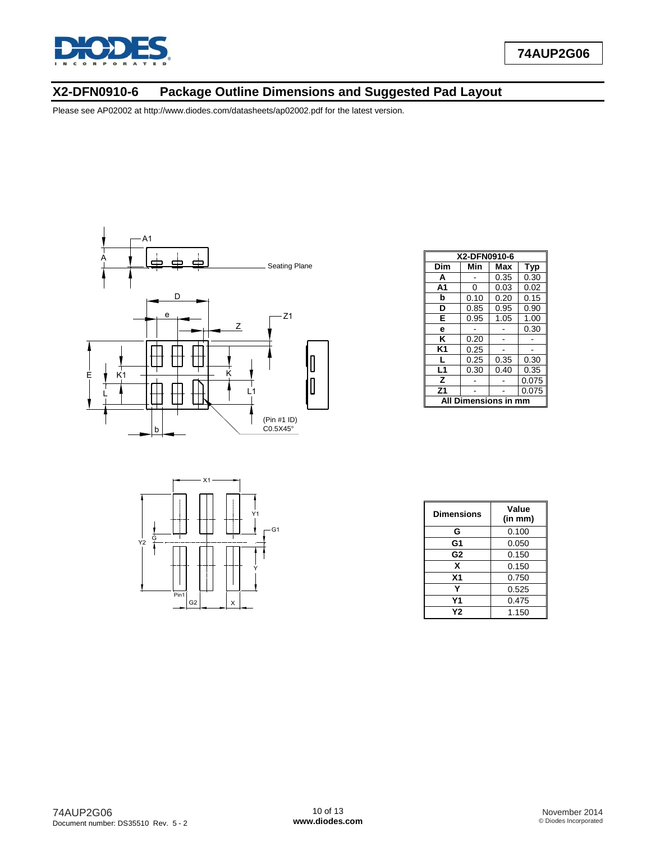

## **X2-DFN0910-6 Package Outline Dimensions and Suggested Pad Layout**



|                               |                        | X1<br>- |   |                      |
|-------------------------------|------------------------|---------|---|----------------------|
| $rac{1}{2}$<br>Y <sub>2</sub> |                        |         |   | Y1<br>G <sub>1</sub> |
|                               |                        |         |   |                      |
|                               | Pin1<br>G <sub>2</sub> |         | х |                      |

| X2-DFN0910-6         |      |      |            |  |  |
|----------------------|------|------|------------|--|--|
| Dim                  | Min  | Max  | <b>Typ</b> |  |  |
| A                    |      | 0.35 | 0.30       |  |  |
| A <sub>1</sub>       | 0    | 0.03 | 0.02       |  |  |
| b                    | 0.10 | 0.20 | 0.15       |  |  |
| D                    | 0.85 | 0.95 | 0.90       |  |  |
| E                    | 0.95 | 1.05 | 1.00       |  |  |
| e                    |      |      | 0.30       |  |  |
| ĸ                    | 0.20 |      |            |  |  |
| K1                   | 0.25 |      |            |  |  |
| L                    | 0.25 | 0.35 | 0.30       |  |  |
| L1                   | 0.30 | 0.40 | 0.35       |  |  |
| z                    |      |      | 0.075      |  |  |
| Z <sub>1</sub>       |      |      | 0.075      |  |  |
| All Dimensions in mm |      |      |            |  |  |

| Dimensions     | Value<br>(in mm) |
|----------------|------------------|
| G              | 0.100            |
| G1             | 0.050            |
| G <sub>2</sub> | 0.150            |
| X              | 0.150            |
| X <sub>1</sub> | 0.750            |
|                | 0.525            |
| Υ1             | 0.475            |
| Υ2             | 1.150            |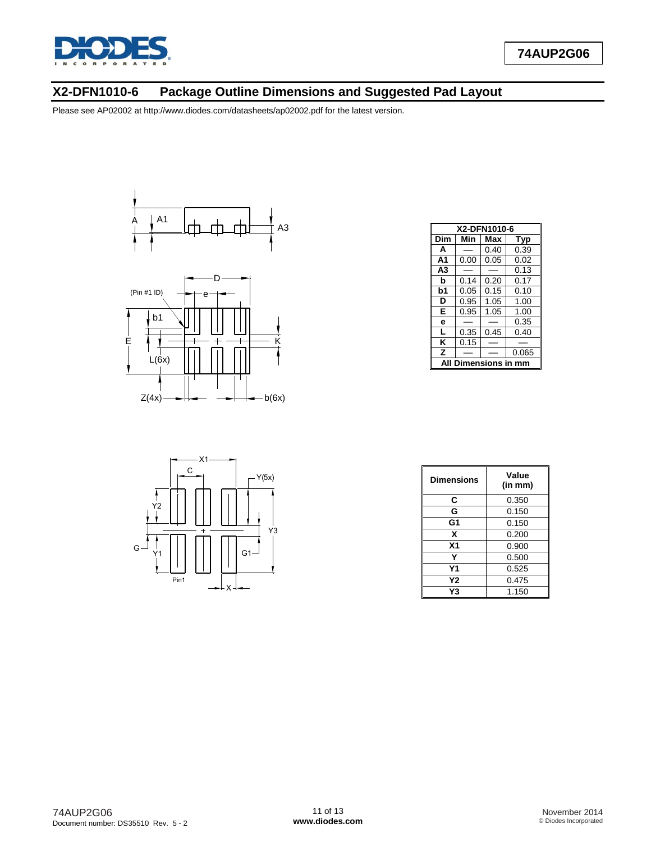

## **X2-DFN1010-6 Package Outline Dimensions and Suggested Pad Layout**









| <b>Dimensions</b> | Value<br>(in mm) |
|-------------------|------------------|
| С                 | 0.350            |
| G                 | 0.150            |
| G1                | 0.150            |
| X                 | 0.200            |
| X <sub>1</sub>    | 0.900            |
| Y                 | 0.500            |
| Υ1                | 0.525            |
| Υ2                | 0.475            |
| Y3                | 1.150            |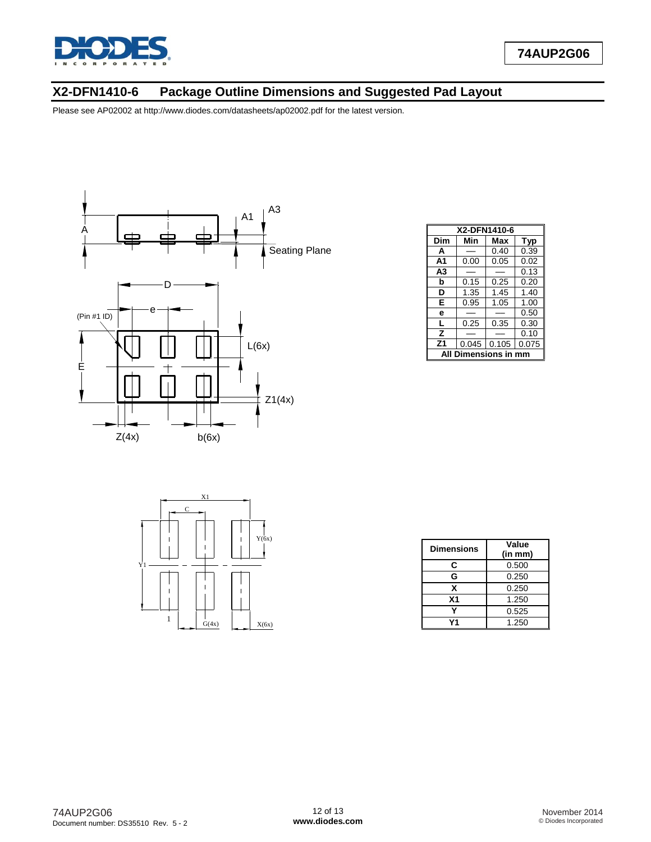

## **X2-DFN1410-6 Package Outline Dimensions and Suggested Pad Layout**



| X2-DFN1410-6     |       |       |            |  |  |
|------------------|-------|-------|------------|--|--|
| Dim              | Min   | Max   | <b>Typ</b> |  |  |
| A                |       | 0.40  | 0.39       |  |  |
| A <sub>1</sub>   | 0.00  | 0.05  | 0.02       |  |  |
| A3               |       |       | 0.13       |  |  |
| b                | 0.15  | 0.25  | 0.20       |  |  |
| D                | 1.35  | 1.45  | 1.40       |  |  |
| Е                | 0.95  | 1.05  | 1.00       |  |  |
| e                |       |       | 0.50       |  |  |
| L                | 0.25  | 0.35  | 0.30       |  |  |
| z                |       |       | 0.10       |  |  |
| Z <sub>1</sub>   | 0.045 | 0.105 | 0.075      |  |  |
| Dimensions in mm |       |       |            |  |  |



| <b>Dimensions</b> | Value<br>(in mm) |
|-------------------|------------------|
| C                 | 0.500            |
| G                 | 0.250            |
| x                 | 0.250            |
| X <sub>1</sub>    | 1.250            |
|                   | 0.525            |
|                   | 1.250            |